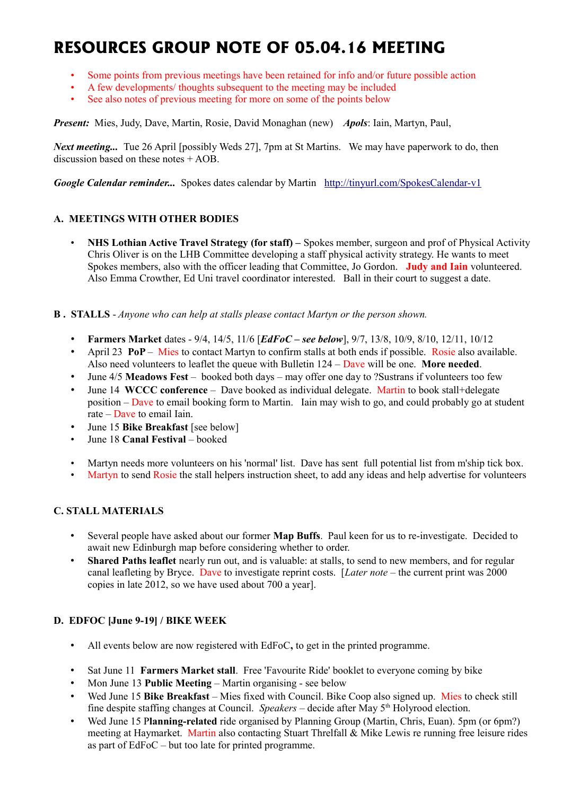# **RESOURCES GROUP NOTE OF 05.04.16 MEETING**

- Some points from previous meetings have been retained for info and/or future possible action
- A few developments/ thoughts subsequent to the meeting may be included
- See also notes of previous meeting for more on some of the points below

*Present:* Mies, Judy, Dave, Martin, Rosie, David Monaghan (new) *Apols*: Iain, Martyn, Paul,

*Next meeting...* Tue 26 April [possibly Weds 27], 7pm at St Martins. We may have paperwork to do, then discussion based on these notes + AOB.

*Google Calendar reminder...* Spokes dates calendar by Martin <http://tinyurl.com/SpokesCalendar-v1>

# **A. MEETINGS WITH OTHER BODIES**

- **NHS Lothian Active Travel Strategy (for staff) –** Spokes member, surgeon and prof of Physical Activity Chris Oliver is on the LHB Committee developing a staff physical activity strategy. He wants to meet Spokes members, also with the officer leading that Committee, Jo Gordon. **Judy and Iain** volunteered. Also Emma Crowther, Ed Uni travel coordinator interested. Ball in their court to suggest a date.
- **B . STALLS** *Anyone who can help at stalls please contact Martyn or the person shown.*
	- **Farmers Market** dates 9/4, 14/5, 11/6 [*EdFoC see below*], 9/7, 13/8, 10/9, 8/10, 12/11, 10/12
	- April 23 **PoP** Mies to contact Martyn to confirm stalls at both ends if possible. Rosie also available. Also need volunteers to leaflet the queue with Bulletin 124 – Dave will be one. **More needed**.
	- June 4/5 **Meadows Fest** booked both days may offer one day to ?Sustrans if volunteers too few
	- June 14 **WCCC conference** Dave booked as individual delegate. Martin to book stall+delegate position – Dave to email booking form to Martin. Iain may wish to go, and could probably go at student rate – Dave to email Iain.
	- June 15 **Bike Breakfast** [see below]
	- June 18 **Canal Festival** booked
	- Martyn needs more volunteers on his 'normal' list. Dave has sent full potential list from m'ship tick box.
	- Martyn to send Rosie the stall helpers instruction sheet, to add any ideas and help advertise for volunteers

# **C. STALL MATERIALS**

- Several people have asked about our former **Map Buffs**. Paul keen for us to re-investigate. Decided to await new Edinburgh map before considering whether to order.
- **Shared Paths leaflet** nearly run out, and is valuable: at stalls, to send to new members, and for regular canal leafleting by Bryce. Dave to investigate reprint costs. [*Later note* – the current print was 2000 copies in late 2012, so we have used about 700 a year].

# **D. EDFOC [June 9-19] / BIKE WEEK**

- All events below are now registered with EdFoC**,** to get in the printed programme.
- Sat June 11 **Farmers Market stall**. Free 'Favourite Ride' booklet to everyone coming by bike
- Mon June 13 **Public Meeting** Martin organising see below
- Wed June 15 **Bike Breakfast** Mies fixed with Council. Bike Coop also signed up. Mies to check still fine despite staffing changes at Council. *Speakers* – decide after May 5th Holyrood election.
- Wed June 15 P**lanning-related** ride organised by Planning Group (Martin, Chris, Euan). 5pm (or 6pm?) meeting at Haymarket. Martin also contacting Stuart Threlfall & Mike Lewis re running free leisure rides as part of EdFoC – but too late for printed programme.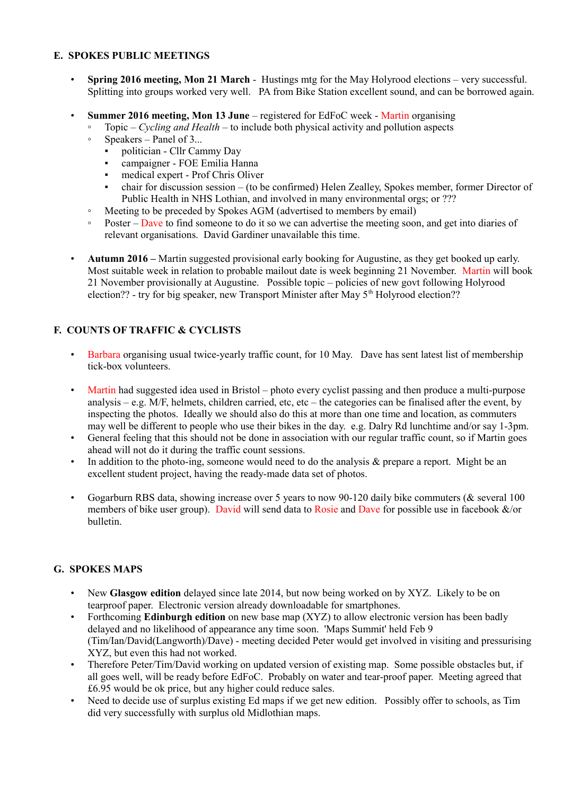#### **E. SPOKES PUBLIC MEETINGS**

- **Spring 2016 meeting, Mon 21 March** Hustings mtg for the May Holyrood elections very successful. Splitting into groups worked very well. PA from Bike Station excellent sound, and can be borrowed again.
- **Summer 2016 meeting, Mon 13 June** registered for EdFoC week Martin organising
	- Topic *Cycling and Health* to include both physical activity and pollution aspects
	- Speakers Panel of 3...
		- politician Cllr Cammy Day
		- campaigner FOE Emilia Hanna
		- medical expert Prof Chris Oliver
		- chair for discussion session (to be confirmed) Helen Zealley, Spokes member, former Director of Public Health in NHS Lothian, and involved in many environmental orgs; or ???
	- Meeting to be preceded by Spokes AGM (advertised to members by email)
	- Poster Dave to find someone to do it so we can advertise the meeting soon, and get into diaries of relevant organisations. David Gardiner unavailable this time.
- **Autumn 2016 –** Martin suggested provisional early booking for Augustine, as they get booked up early. Most suitable week in relation to probable mailout date is week beginning 21 November. Martin will book 21 November provisionally at Augustine. Possible topic – policies of new govt following Holyrood election?? - try for big speaker, new Transport Minister after May 5<sup>th</sup> Holyrood election??

# **F. COUNTS OF TRAFFIC & CYCLISTS**

- Barbara organising usual twice-yearly traffic count, for 10 May. Dave has sent latest list of membership tick-box volunteers.
- Martin had suggested idea used in Bristol photo every cyclist passing and then produce a multi-purpose analysis – e.g. M/F, helmets, children carried, etc, etc – the categories can be finalised after the event, by inspecting the photos. Ideally we should also do this at more than one time and location, as commuters may well be different to people who use their bikes in the day. e.g. Dalry Rd lunchtime and/or say 1-3pm.
- General feeling that this should not be done in association with our regular traffic count, so if Martin goes ahead will not do it during the traffic count sessions.
- In addition to the photo-ing, someone would need to do the analysis & prepare a report. Might be an excellent student project, having the ready-made data set of photos.
- Gogarburn RBS data, showing increase over 5 years to now 90-120 daily bike commuters (& several 100 members of bike user group). David will send data to Rosie and Dave for possible use in facebook &/or bulletin.

# **G. SPOKES MAPS**

- New **Glasgow edition** delayed since late 2014, but now being worked on by XYZ. Likely to be on tearproof paper. Electronic version already downloadable for smartphones.
- Forthcoming **Edinburgh edition** on new base map (XYZ) to allow electronic version has been badly delayed and no likelihood of appearance any time soon. 'Maps Summit' held Feb 9 (Tim/Ian/David(Langworth)/Dave) - meeting decided Peter would get involved in visiting and pressurising XYZ, but even this had not worked.
- Therefore Peter/Tim/David working on updated version of existing map. Some possible obstacles but, if all goes well, will be ready before EdFoC. Probably on water and tear-proof paper. Meeting agreed that £6.95 would be ok price, but any higher could reduce sales.
- Need to decide use of surplus existing Ed maps if we get new edition. Possibly offer to schools, as Tim did very successfully with surplus old Midlothian maps.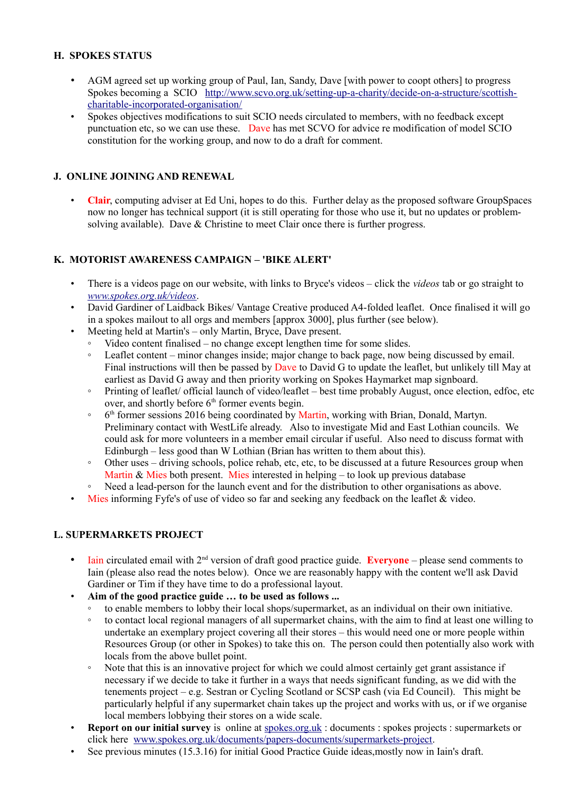# **H. SPOKES STATUS**

- AGM agreed set up working group of Paul, Ian, Sandy, Dave [with power to coopt others] to progress Spokes becoming a SCIO [http://www.scvo.org.uk/setting-up-a-charity/decide-on-a-structure/scottish](http://www.scvo.org.uk/setting-up-a-charity/decide-on-a-structure/scottish-charitable-incorporated-organisation/)[charitable-incorporated-organisation/](http://www.scvo.org.uk/setting-up-a-charity/decide-on-a-structure/scottish-charitable-incorporated-organisation/)
- Spokes objectives modifications to suit SCIO needs circulated to members, with no feedback except punctuation etc, so we can use these. Dave has met SCVO for advice re modification of model SCIO constitution for the working group, and now to do a draft for comment.

# **J. ONLINE JOINING AND RENEWAL**

• **Clair**, computing adviser at Ed Uni, hopes to do this. Further delay as the proposed software GroupSpaces now no longer has technical support (it is still operating for those who use it, but no updates or problemsolving available). Dave & Christine to meet Clair once there is further progress.

# **K. MOTORIST AWARENESS CAMPAIGN – 'BIKE ALERT'**

- There is a videos page on our website, with links to Bryce's videos click the *videos* tab or go straight to *[www.spokes.org.uk/videos](http://www.spokes.org.uk/videos)*.
- David Gardiner of Laidback Bikes/ Vantage Creative produced A4-folded leaflet. Once finalised it will go in a spokes mailout to all orgs and members [approx 3000], plus further (see below).
- Meeting held at Martin's only Martin, Bryce, Dave present.
	- Video content finalised no change except lengthen time for some slides.
	- Leaflet content minor changes inside; major change to back page, now being discussed by email. Final instructions will then be passed by Dave to David G to update the leaflet, but unlikely till May at earliest as David G away and then priority working on Spokes Haymarket map signboard.
	- Printing of leaflet/ official launch of video/leaflet best time probably August, once election, edfoc, etc over, and shortly before  $6<sup>th</sup>$  former events begin.
	- ∘ 6<sup>th</sup> former sessions 2016 being coordinated by Martin, working with Brian, Donald, Martyn. Preliminary contact with WestLife already. Also to investigate Mid and East Lothian councils. We could ask for more volunteers in a member email circular if useful. Also need to discuss format with Edinburgh – less good than W Lothian (Brian has written to them about this).
	- Other uses driving schools, police rehab, etc, etc, to be discussed at a future Resources group when Martin & Mies both present. Mies interested in helping  $-$  to look up previous database
	- Need a lead-person for the launch event and for the distribution to other organisations as above.
- Mies informing Fyfe's of use of video so far and seeking any feedback on the leaflet & video.

# **L. SUPERMARKETS PROJECT**

- Iain circulated email with 2<sup>nd</sup> version of draft good practice guide. **Everyone** please send comments to Iain (please also read the notes below). Once we are reasonably happy with the content we'll ask David Gardiner or Tim if they have time to do a professional layout.
- **Aim of the good practice guide … to be used as follows ...**
	- to enable members to lobby their local shops/supermarket, as an individual on their own initiative.
	- to contact local regional managers of all supermarket chains, with the aim to find at least one willing to undertake an exemplary project covering all their stores – this would need one or more people within Resources Group (or other in Spokes) to take this on. The person could then potentially also work with locals from the above bullet point.
	- Note that this is an innovative project for which we could almost certainly get grant assistance if necessary if we decide to take it further in a ways that needs significant funding, as we did with the tenements project – e.g. Sestran or Cycling Scotland or SCSP cash (via Ed Council). This might be particularly helpful if any supermarket chain takes up the project and works with us, or if we organise local members lobbying their stores on a wide scale.
- **Report on our initial survey** is online at [spokes.org.uk](http://spokes.org.uk/) : documents : spokes projects : supermarkets or click here [www.spokes.org.uk/documents/papers-documents/supermarkets-project.](http://www.spokes.org.uk/documents/papers-documents/supermarkets-project)
- See previous minutes (15.3.16) for initial Good Practice Guide ideas, mostly now in Iain's draft.